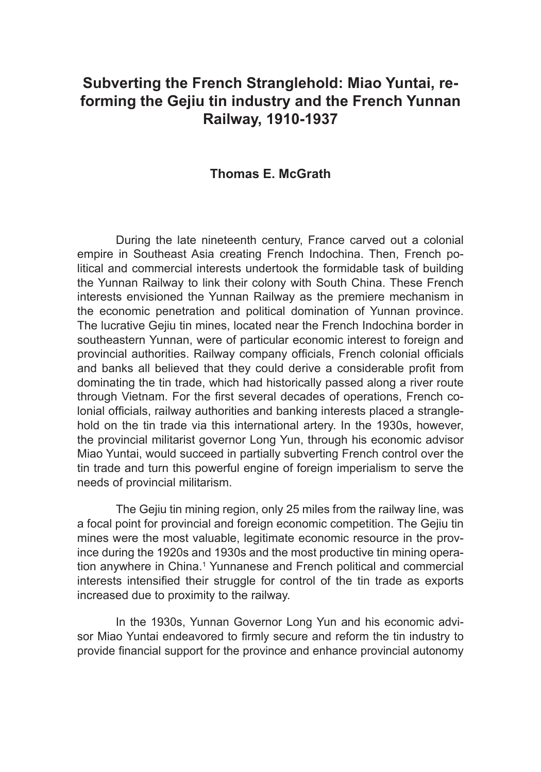# **Subverting the French Stranglehold: Miao Yuntai, reforming the Gejiu tin industry and the French Yunnan Railway, 1910-1937**

# **Thomas E. McGrath**

During the late nineteenth century, France carved out a colonial empire in Southeast Asia creating French Indochina. Then, French political and commercial interests undertook the formidable task of building the Yunnan Railway to link their colony with South China. These French interests envisioned the Yunnan Railway as the premiere mechanism in the economic penetration and political domination of Yunnan province. The lucrative Gejiu tin mines, located near the French Indochina border in southeastern Yunnan, were of particular economic interest to foreign and provincial authorities. Railway company officials, French colonial officials and banks all believed that they could derive a considerable profit from dominating the tin trade, which had historically passed along a river route through Vietnam. For the first several decades of operations, French colonial officials, railway authorities and banking interests placed a stranglehold on the tin trade via this international artery. In the 1930s, however, the provincial militarist governor Long Yun, through his economic advisor Miao Yuntai, would succeed in partially subverting French control over the tin trade and turn this powerful engine of foreign imperialism to serve the needs of provincial militarism.

The Gejiu tin mining region, only 25 miles from the railway line, was a focal point for provincial and foreign economic competition. The Gejiu tin mines were the most valuable, legitimate economic resource in the province during the 1920s and 1930s and the most productive tin mining operation anywhere in China.<sup>1</sup> Yunnanese and French political and commercial interests intensified their struggle for control of the tin trade as exports increased due to proximity to the railway.

In the 1930s, Yunnan Governor Long Yun and his economic advisor Miao Yuntai endeavored to firmly secure and reform the tin industry to provide financial support for the province and enhance provincial autonomy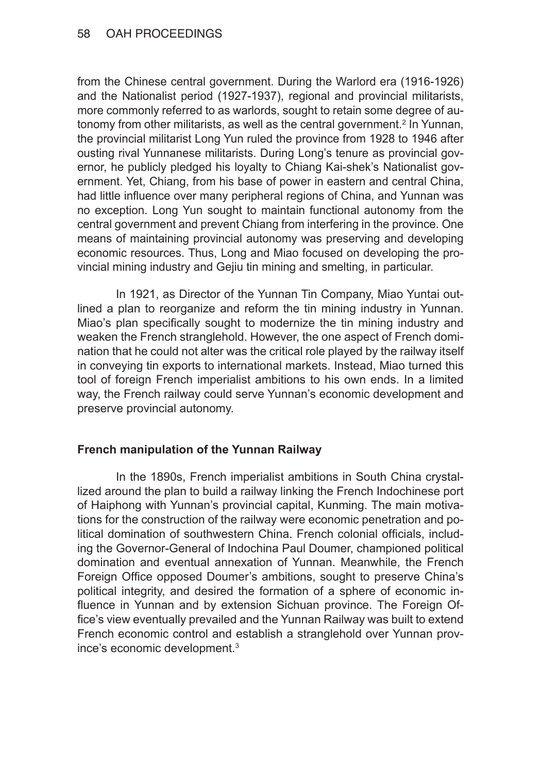from the Chinese central government. During the Warlord era (1916-1926) and the Nationalist period (1927-1937), regional and provincial militarists, more commonly referred to as warlords, sought to retain some degree of autonomy from other militarists, as well as the central government.<sup>2</sup> In Yunnan, the provincial militarist Long Yun ruled the province from 1928 to 1946 after ousting rival Yunnanese militarists. During Long's tenure as provincial governor, he publicly pledged his loyalty to Chiang Kai-shek's Nationalist government. Yet, Chiang, from his base of power in eastern and central China, had little influence over many peripheral regions of China, and Yunnan was no exception. Long Yun sought to maintain functional autonomy from the central government and prevent Chiang from interfering in the province. One means of maintaining provincial autonomy was preserving and developing economic resources. Thus, Long and Miao focused on developing the provincial mining industry and Gejiu tin mining and smelting, in particular.

In 1921, as Director of the Yunnan Tin Company, Miao Yuntai outlined a plan to reorganize and reform the tin mining industry in Yunnan. Miao's plan specifically sought to modernize the tin mining industry and weaken the French stranglehold. However, the one aspect of French domination that he could not alter was the critical role played by the railway itself in conveying tin exports to international markets. Instead, Miao turned this tool of foreign French imperialist ambitions to his own ends. In a limited way, the French railway could serve Yunnan's economic development and preserve provincial autonomy.

# **French manipulation of the Yunnan Railway**

In the 1890s, French imperialist ambitions in South China crystallized around the plan to build a railway linking the French Indochinese port of Haiphong with Yunnan's provincial capital, Kunming. The main motivations for the construction of the railway were economic penetration and political domination of southwestern China. French colonial officials, including the Governor-General of Indochina Paul Doumer, championed political domination and eventual annexation of Yunnan. Meanwhile, the French Foreign Office opposed Doumer's ambitions, sought to preserve China's political integrity, and desired the formation of a sphere of economic influence in Yunnan and by extension Sichuan province. The Foreign Office's view eventually prevailed and the Yunnan Railway was built to extend French economic control and establish a stranglehold over Yunnan province's economic development.3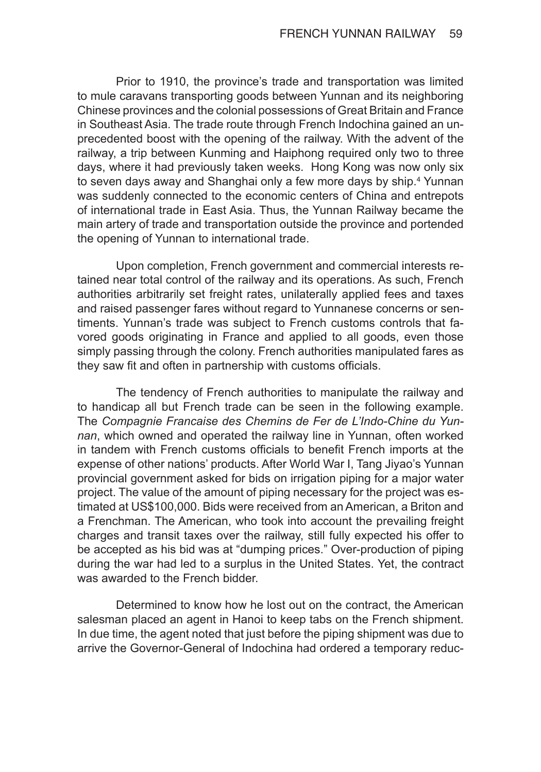Prior to 1910, the province's trade and transportation was limited to mule caravans transporting goods between Yunnan and its neighboring Chinese provinces and the colonial possessions of Great Britain and France in Southeast Asia. The trade route through French Indochina gained an unprecedented boost with the opening of the railway. With the advent of the railway, a trip between Kunming and Haiphong required only two to three days, where it had previously taken weeks. Hong Kong was now only six to seven days away and Shanghai only a few more days by ship.<sup>4</sup> Yunnan was suddenly connected to the economic centers of China and entrepots of international trade in East Asia. Thus, the Yunnan Railway became the main artery of trade and transportation outside the province and portended the opening of Yunnan to international trade.

Upon completion, French government and commercial interests retained near total control of the railway and its operations. As such, French authorities arbitrarily set freight rates, unilaterally applied fees and taxes and raised passenger fares without regard to Yunnanese concerns or sentiments. Yunnan's trade was subject to French customs controls that favored goods originating in France and applied to all goods, even those simply passing through the colony. French authorities manipulated fares as they saw fit and often in partnership with customs officials.

The tendency of French authorities to manipulate the railway and to handicap all but French trade can be seen in the following example. The *Compagnie Francaise des Chemins de Fer de L'Indo-Chine du Yun‑ nan*, which owned and operated the railway line in Yunnan, often worked in tandem with French customs officials to benefit French imports at the expense of other nations' products. After World War I, Tang Jiyao's Yunnan provincial government asked for bids on irrigation piping for a major water project. The value of the amount of piping necessary for the project was estimated at US\$100,000. Bids were received from an American, a Briton and a Frenchman. The American, who took into account the prevailing freight charges and transit taxes over the railway, still fully expected his offer to be accepted as his bid was at "dumping prices." Over-production of piping during the war had led to a surplus in the United States. Yet, the contract was awarded to the French bidder.

Determined to know how he lost out on the contract, the American salesman placed an agent in Hanoi to keep tabs on the French shipment. In due time, the agent noted that just before the piping shipment was due to arrive the Governor-General of Indochina had ordered a temporary reduc-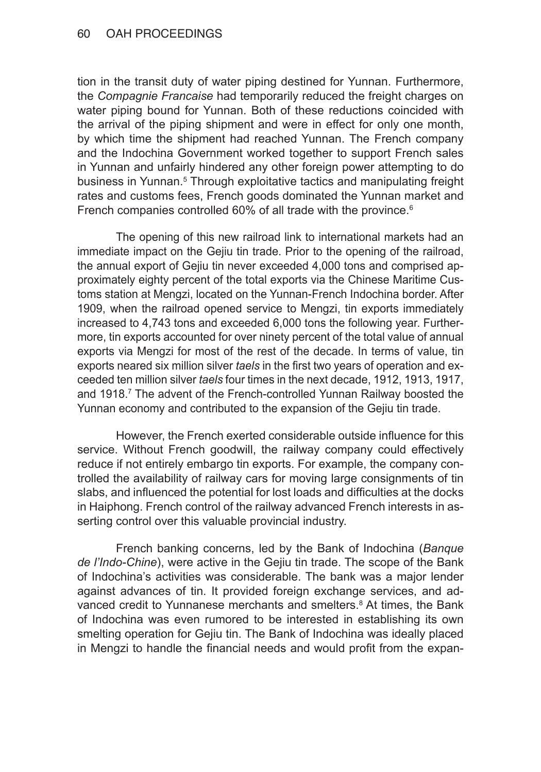### 60 OAH PROCEEDINGS

tion in the transit duty of water piping destined for Yunnan. Furthermore, the *Compagnie Francaise* had temporarily reduced the freight charges on water piping bound for Yunnan. Both of these reductions coincided with the arrival of the piping shipment and were in effect for only one month, by which time the shipment had reached Yunnan. The French company and the Indochina Government worked together to support French sales in Yunnan and unfairly hindered any other foreign power attempting to do business in Yunnan.<sup>5</sup> Through exploitative tactics and manipulating freight rates and customs fees, French goods dominated the Yunnan market and French companies controlled 60% of all trade with the province.<sup>6</sup>

The opening of this new railroad link to international markets had an immediate impact on the Gejiu tin trade. Prior to the opening of the railroad, the annual export of Gejiu tin never exceeded 4,000 tons and comprised approximately eighty percent of the total exports via the Chinese Maritime Customs station at Mengzi, located on the Yunnan-French Indochina border. After 1909, when the railroad opened service to Mengzi, tin exports immediately increased to 4,743 tons and exceeded 6,000 tons the following year. Furthermore, tin exports accounted for over ninety percent of the total value of annual exports via Mengzi for most of the rest of the decade. In terms of value, tin exports neared six million silver *taels* in the first two years of operation and exceeded ten million silver *taels* four times in the next decade, 1912, 1913, 1917, and 1918.7 The advent of the French-controlled Yunnan Railway boosted the Yunnan economy and contributed to the expansion of the Gejiu tin trade.

However, the French exerted considerable outside influence for this service. Without French goodwill, the railway company could effectively reduce if not entirely embargo tin exports. For example, the company controlled the availability of railway cars for moving large consignments of tin slabs, and influenced the potential for lost loads and difficulties at the docks in Haiphong. French control of the railway advanced French interests in asserting control over this valuable provincial industry.

French banking concerns, led by the Bank of Indochina (*Banque de l'Indo-Chine*), were active in the Gejiu tin trade. The scope of the Bank of Indochina's activities was considerable. The bank was a major lender against advances of tin. It provided foreign exchange services, and advanced credit to Yunnanese merchants and smelters.<sup>8</sup> At times, the Bank of Indochina was even rumored to be interested in establishing its own smelting operation for Gejiu tin. The Bank of Indochina was ideally placed in Mengzi to handle the financial needs and would profit from the expan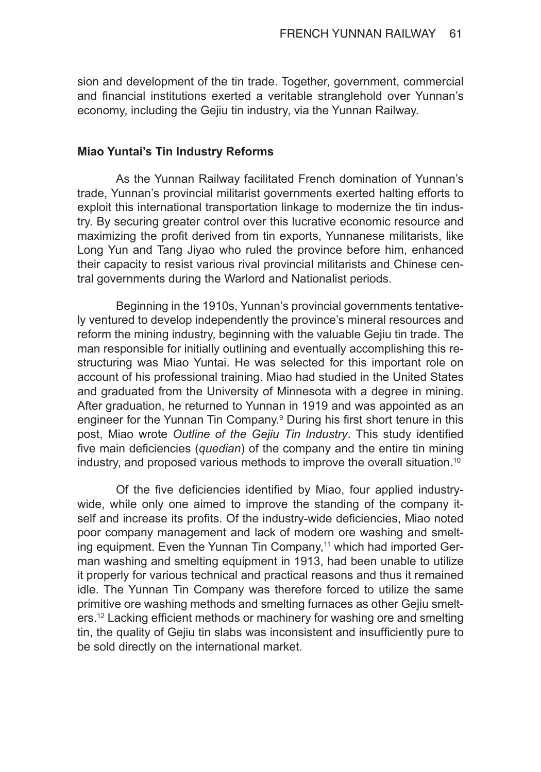sion and development of the tin trade. Together, government, commercial and financial institutions exerted a veritable stranglehold over Yunnan's economy, including the Gejiu tin industry, via the Yunnan Railway.

#### **Miao Yuntai's Tin Industry Reforms**

As the Yunnan Railway facilitated French domination of Yunnan's trade, Yunnan's provincial militarist governments exerted halting efforts to exploit this international transportation linkage to modernize the tin industry. By securing greater control over this lucrative economic resource and maximizing the profit derived from tin exports, Yunnanese militarists, like Long Yun and Tang Jiyao who ruled the province before him, enhanced their capacity to resist various rival provincial militarists and Chinese central governments during the Warlord and Nationalist periods.

Beginning in the 1910s, Yunnan's provincial governments tentatively ventured to develop independently the province's mineral resources and reform the mining industry, beginning with the valuable Gejiu tin trade. The man responsible for initially outlining and eventually accomplishing this restructuring was Miao Yuntai. He was selected for this important role on account of his professional training. Miao had studied in the United States and graduated from the University of Minnesota with a degree in mining. After graduation, he returned to Yunnan in 1919 and was appointed as an engineer for the Yunnan Tin Company.<sup>9</sup> During his first short tenure in this post, Miao wrote *Outline of the Gejiu Tin Industry*. This study identified five main deficiencies (*quedian*) of the company and the entire tin mining industry, and proposed various methods to improve the overall situation.10

Of the five deficiencies identified by Miao, four applied industrywide, while only one aimed to improve the standing of the company itself and increase its profits. Of the industry-wide deficiencies, Miao noted poor company management and lack of modern ore washing and smelting equipment. Even the Yunnan Tin Company,<sup>11</sup> which had imported German washing and smelting equipment in 1913, had been unable to utilize it properly for various technical and practical reasons and thus it remained idle. The Yunnan Tin Company was therefore forced to utilize the same primitive ore washing methods and smelting furnaces as other Gejiu smelters.<sup>12</sup> Lacking efficient methods or machinery for washing ore and smelting tin, the quality of Gejiu tin slabs was inconsistent and insufficiently pure to be sold directly on the international market.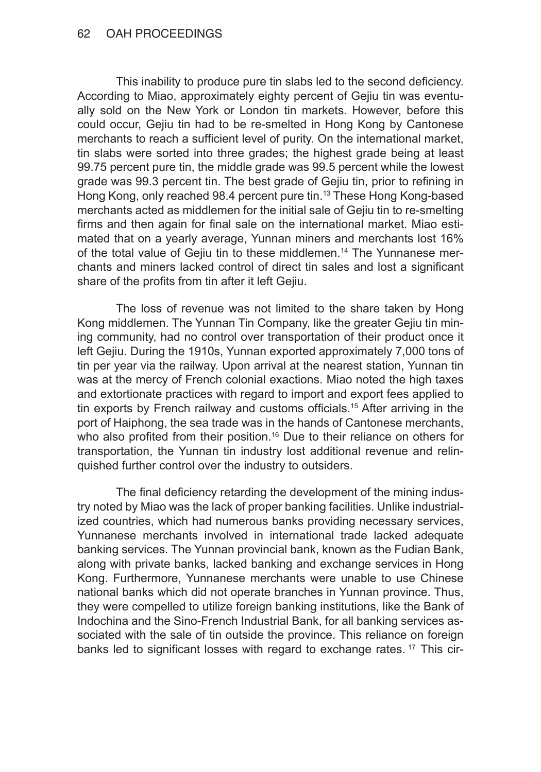### 62 OAH PROCEEDINGS

This inability to produce pure tin slabs led to the second deficiency. According to Miao, approximately eighty percent of Gejiu tin was eventually sold on the New York or London tin markets. However, before this could occur, Gejiu tin had to be re-smelted in Hong Kong by Cantonese merchants to reach a sufficient level of purity. On the international market, tin slabs were sorted into three grades; the highest grade being at least 99.75 percent pure tin, the middle grade was 99.5 percent while the lowest grade was 99.3 percent tin. The best grade of Gejiu tin, prior to refining in Hong Kong, only reached 98.4 percent pure tin.<sup>13</sup> These Hong Kong-based merchants acted as middlemen for the initial sale of Gejiu tin to re-smelting firms and then again for final sale on the international market. Miao estimated that on a yearly average, Yunnan miners and merchants lost 16% of the total value of Gejiu tin to these middlemen.14 The Yunnanese merchants and miners lacked control of direct tin sales and lost a significant share of the profits from tin after it left Gejiu.

The loss of revenue was not limited to the share taken by Hong Kong middlemen. The Yunnan Tin Company, like the greater Gejiu tin mining community, had no control over transportation of their product once it left Gejiu. During the 1910s, Yunnan exported approximately 7,000 tons of tin per year via the railway. Upon arrival at the nearest station, Yunnan tin was at the mercy of French colonial exactions. Miao noted the high taxes and extortionate practices with regard to import and export fees applied to tin exports by French railway and customs officials.15 After arriving in the port of Haiphong, the sea trade was in the hands of Cantonese merchants, who also profited from their position.<sup>16</sup> Due to their reliance on others for transportation, the Yunnan tin industry lost additional revenue and relinquished further control over the industry to outsiders.

The final deficiency retarding the development of the mining industry noted by Miao was the lack of proper banking facilities. Unlike industrialized countries, which had numerous banks providing necessary services, Yunnanese merchants involved in international trade lacked adequate banking services. The Yunnan provincial bank, known as the Fudian Bank, along with private banks, lacked banking and exchange services in Hong Kong. Furthermore, Yunnanese merchants were unable to use Chinese national banks which did not operate branches in Yunnan province. Thus, they were compelled to utilize foreign banking institutions, like the Bank of Indochina and the Sino-French Industrial Bank, for all banking services associated with the sale of tin outside the province. This reliance on foreign banks led to significant losses with regard to exchange rates.<sup>17</sup> This cir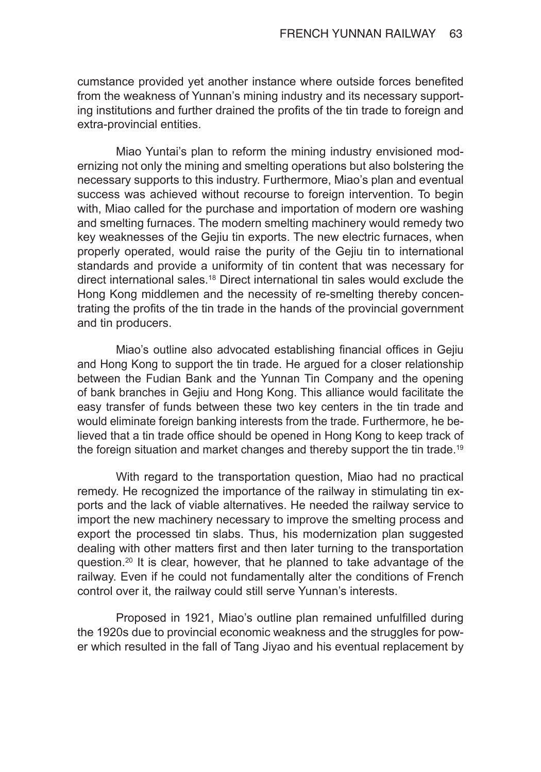cumstance provided yet another instance where outside forces benefited from the weakness of Yunnan's mining industry and its necessary supporting institutions and further drained the profits of the tin trade to foreign and extra-provincial entities.

Miao Yuntai's plan to reform the mining industry envisioned modernizing not only the mining and smelting operations but also bolstering the necessary supports to this industry. Furthermore, Miao's plan and eventual success was achieved without recourse to foreign intervention. To begin with, Miao called for the purchase and importation of modern ore washing and smelting furnaces. The modern smelting machinery would remedy two key weaknesses of the Gejiu tin exports. The new electric furnaces, when properly operated, would raise the purity of the Gejiu tin to international standards and provide a uniformity of tin content that was necessary for direct international sales.18 Direct international tin sales would exclude the Hong Kong middlemen and the necessity of re-smelting thereby concentrating the profits of the tin trade in the hands of the provincial government and tin producers.

Miao's outline also advocated establishing financial offices in Gejiu and Hong Kong to support the tin trade. He argued for a closer relationship between the Fudian Bank and the Yunnan Tin Company and the opening of bank branches in Gejiu and Hong Kong. This alliance would facilitate the easy transfer of funds between these two key centers in the tin trade and would eliminate foreign banking interests from the trade. Furthermore, he believed that a tin trade office should be opened in Hong Kong to keep track of the foreign situation and market changes and thereby support the tin trade.<sup>19</sup>

With regard to the transportation question, Miao had no practical remedy. He recognized the importance of the railway in stimulating tin exports and the lack of viable alternatives. He needed the railway service to import the new machinery necessary to improve the smelting process and export the processed tin slabs. Thus, his modernization plan suggested dealing with other matters first and then later turning to the transportation question.20 It is clear, however, that he planned to take advantage of the railway. Even if he could not fundamentally alter the conditions of French control over it, the railway could still serve Yunnan's interests.

Proposed in 1921, Miao's outline plan remained unfulfilled during the 1920s due to provincial economic weakness and the struggles for power which resulted in the fall of Tang Jiyao and his eventual replacement by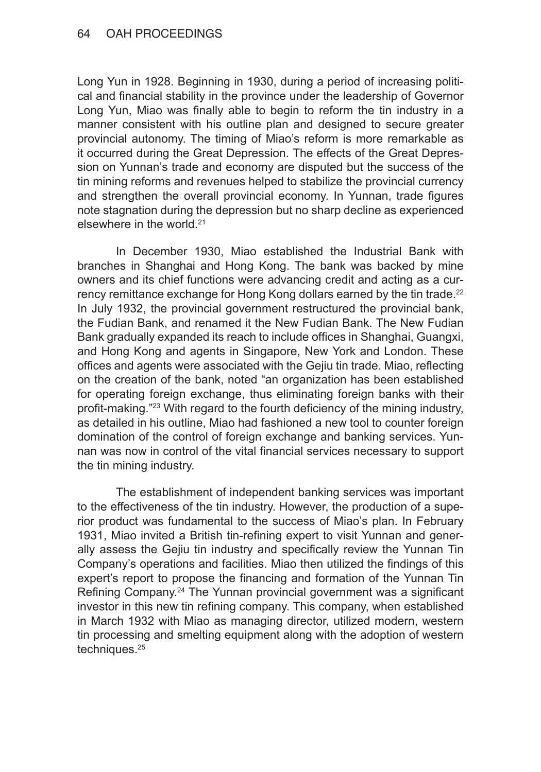### 64 OAH PROCEEDINGS

Long Yun in 1928. Beginning in 1930, during a period of increasing political and financial stability in the province under the leadership of Governor Long Yun, Miao was finally able to begin to reform the tin industry in a manner consistent with his outline plan and designed to secure greater provincial autonomy. The timing of Miao's reform is more remarkable as it occurred during the Great Depression. The effects of the Great Depression on Yunnan's trade and economy are disputed but the success of the tin mining reforms and revenues helped to stabilize the provincial currency and strengthen the overall provincial economy. In Yunnan, trade figures note stagnation during the depression but no sharp decline as experienced elsewhere in the world.21

In December 1930, Miao established the Industrial Bank with branches in Shanghai and Hong Kong. The bank was backed by mine owners and its chief functions were advancing credit and acting as a currency remittance exchange for Hong Kong dollars earned by the tin trade.<sup>22</sup> In July 1932, the provincial government restructured the provincial bank, the Fudian Bank, and renamed it the New Fudian Bank. The New Fudian Bank gradually expanded its reach to include offices in Shanghai, Guangxi, and Hong Kong and agents in Singapore, New York and London. These offices and agents were associated with the Gejiu tin trade. Miao, reflecting on the creation of the bank, noted "an organization has been established for operating foreign exchange, thus eliminating foreign banks with their profit-making."<sup>23</sup> With regard to the fourth deficiency of the mining industry, as detailed in his outline, Miao had fashioned a new tool to counter foreign domination of the control of foreign exchange and banking services. Yunnan was now in control of the vital financial services necessary to support the tin mining industry.

The establishment of independent banking services was important to the effectiveness of the tin industry. However, the production of a superior product was fundamental to the success of Miao's plan. In February 1931, Miao invited a British tin-refining expert to visit Yunnan and generally assess the Gejiu tin industry and specifically review the Yunnan Tin Company's operations and facilities. Miao then utilized the findings of this expert's report to propose the financing and formation of the Yunnan Tin Refining Company.<sup>24</sup> The Yunnan provincial government was a significant investor in this new tin refining company. This company, when established in March 1932 with Miao as managing director, utilized modern, western tin processing and smelting equipment along with the adoption of western techniques.<sup>25</sup>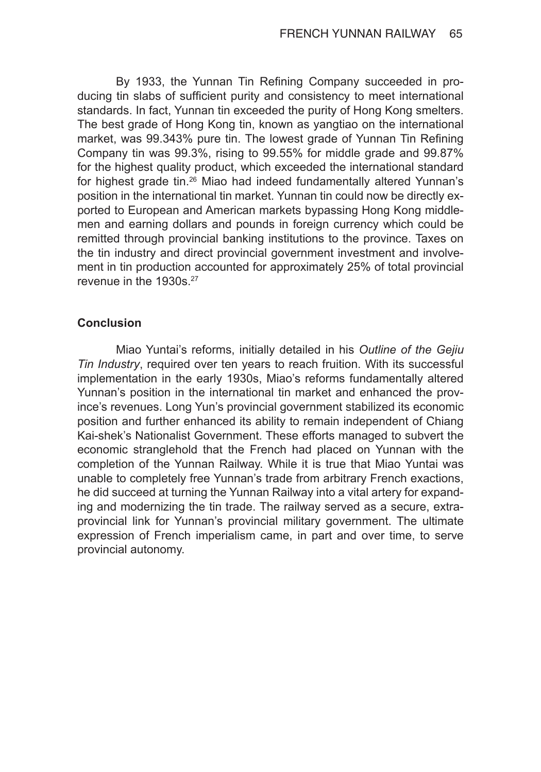By 1933, the Yunnan Tin Refining Company succeeded in producing tin slabs of sufficient purity and consistency to meet international standards. In fact, Yunnan tin exceeded the purity of Hong Kong smelters. The best grade of Hong Kong tin, known as yangtiao on the international market, was 99.343% pure tin. The lowest grade of Yunnan Tin Refining Company tin was 99.3%, rising to 99.55% for middle grade and 99.87% for the highest quality product, which exceeded the international standard for highest grade tin.<sup>26</sup> Miao had indeed fundamentally altered Yunnan's position in the international tin market. Yunnan tin could now be directly exported to European and American markets bypassing Hong Kong middlemen and earning dollars and pounds in foreign currency which could be remitted through provincial banking institutions to the province. Taxes on the tin industry and direct provincial government investment and involvement in tin production accounted for approximately 25% of total provincial revenue in the 1930s.<sup>27</sup>

### **Conclusion**

Miao Yuntai's reforms, initially detailed in his *Outline of the Gejiu Tin Industry*, required over ten years to reach fruition. With its successful implementation in the early 1930s, Miao's reforms fundamentally altered Yunnan's position in the international tin market and enhanced the province's revenues. Long Yun's provincial government stabilized its economic position and further enhanced its ability to remain independent of Chiang Kai-shek's Nationalist Government. These efforts managed to subvert the economic stranglehold that the French had placed on Yunnan with the completion of the Yunnan Railway. While it is true that Miao Yuntai was unable to completely free Yunnan's trade from arbitrary French exactions, he did succeed at turning the Yunnan Railway into a vital artery for expanding and modernizing the tin trade. The railway served as a secure, extraprovincial link for Yunnan's provincial military government. The ultimate expression of French imperialism came, in part and over time, to serve provincial autonomy.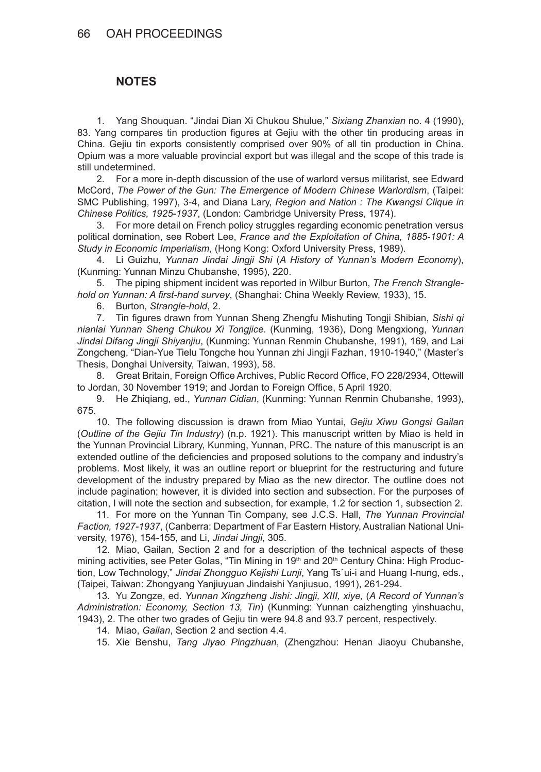# **NOTES**

1. Yang Shouquan. "Jindai Dian Xi Chukou Shulue," *Sixiang Zhanxian* no. 4 (1990), 83. Yang compares tin production figures at Gejiu with the other tin producing areas in China. Gejiu tin exports consistently comprised over 90% of all tin production in China. Opium was a more valuable provincial export but was illegal and the scope of this trade is still undetermined.

2. For a more in-depth discussion of the use of warlord versus militarist, see Edward McCord, *The Power of the Gun: The Emergence of Modern Chinese Warlordism*, (Taipei: SMC Publishing, 1997), 3-4, and Diana Lary, *Region and Nation : The Kwangsi Clique in Chinese Politics, 1925-1937*, (London: Cambridge University Press, 1974).

3. For more detail on French policy struggles regarding economic penetration versus political domination, see Robert Lee, *France and the Exploitation of China, 1885-1901: A Study in Economic Imperialism*, (Hong Kong: Oxford University Press, 1989).

4. Li Guizhu, *Yunnan Jindai Jingji Shi* (*A History of Yunnan's Modern Economy*), (Kunming: Yunnan Minzu Chubanshe, 1995), 220.

5. The piping shipment incident was reported in Wilbur Burton, *The French Stranglehold on Yunnan: A first-hand survey*, (Shanghai: China Weekly Review, 1933), 15.

6. Burton, *Strangle-hold*, 2.

7. Tin figures drawn from Yunnan Sheng Zhengfu Mishuting Tongji Shibian, *Sishi qi nianlai Yunnan Sheng Chukou Xi Tongjice*. (Kunming, 1936), Dong Mengxiong, *Yunnan Jindai Difang Jingji Shiyanjiu*, (Kunming: Yunnan Renmin Chubanshe, 1991), 169, and Lai Zongcheng, "Dian-Yue Tielu Tongche hou Yunnan zhi Jingji Fazhan, 1910-1940," (Master's Thesis, Donghai University, Taiwan, 1993), 58.

8. Great Britain, Foreign Office Archives, Public Record Office, FO 228/2934, Ottewill to Jordan, 30 November 1919; and Jordan to Foreign Office, 5 April 1920.

9. He Zhiqiang, ed., *Yunnan Cidian*, (Kunming: Yunnan Renmin Chubanshe, 1993), 675.

10. The following discussion is drawn from Miao Yuntai, *Gejiu Xiwu Gongsi Gailan* (*Outline of the Gejiu Tin Industry*) (n.p. 1921). This manuscript written by Miao is held in the Yunnan Provincial Library, Kunming, Yunnan, PRC. The nature of this manuscript is an extended outline of the deficiencies and proposed solutions to the company and industry's problems. Most likely, it was an outline report or blueprint for the restructuring and future development of the industry prepared by Miao as the new director. The outline does not include pagination; however, it is divided into section and subsection. For the purposes of citation, I will note the section and subsection, for example, 1.2 for section 1, subsection 2.

11. For more on the Yunnan Tin Company, see J.C.S. Hall, *The Yunnan Provincial Faction, 1927-1937*, (Canberra: Department of Far Eastern History, Australian National University, 1976), 154-155, and Li, *Jindai Jingji*, 305.

12. Miao, Gailan, Section 2 and for a description of the technical aspects of these mining activities, see Peter Golas, "Tin Mining in 19<sup>th</sup> and 20<sup>th</sup> Century China: High Production, Low Technology," *Jindai Zhongguo Kejishi Lunji*, Yang Ts`ui-i and Huang I-nung, eds., (Taipei, Taiwan: Zhongyang Yanjiuyuan Jindaishi Yanjiusuo, 1991), 261-294.

13. Yu Zongze, ed. *Yunnan Xingzheng Jishi: Jingji, XIII, xiye,* (*A Record of Yunnan's Administration: Economy, Section 13, Tin*) (Kunming: Yunnan caizhengting yinshuachu, 1943), 2. The other two grades of Gejiu tin were 94.8 and 93.7 percent, respectively.

14. Miao, *Gailan*, Section 2 and section 4.4.

15. Xie Benshu, *Tang Jiyao Pingzhuan*, (Zhengzhou: Henan Jiaoyu Chubanshe,